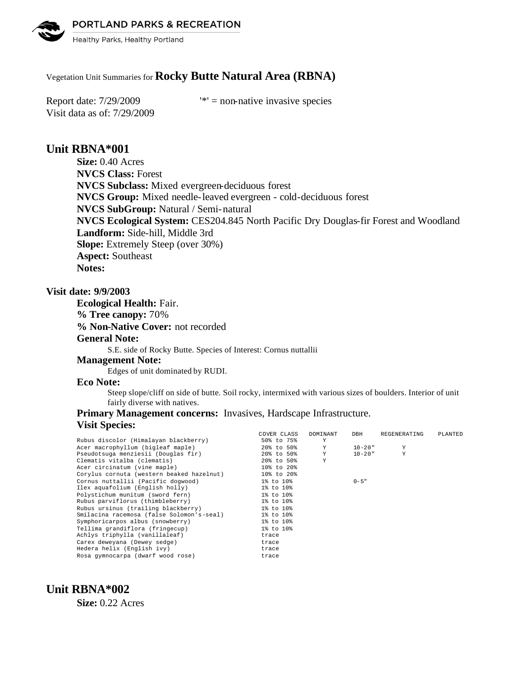PORTLAND PARKS & RECREATION



Healthy Parks, Healthy Portland

# Vegetation Unit Summaries for **Rocky Butte Natural Area (RBNA)**

Visit data as of: 7/29/2009

Report date:  $7/29/2009$  '\*' = non-native invasive species

# **Unit RBNA\*001**

**Size:** 0.40 Acres **NVCS Class:** Forest **NVCS Subclass:** Mixed evergreen-deciduous forest **NVCS Group:** Mixed needle-leaved evergreen - cold-deciduous forest **NVCS SubGroup:** Natural / Semi-natural **NVCS Ecological System:** CES204.845 North Pacific Dry Douglas-fir Forest and Woodland **Landform:** Side-hill, Middle 3rd **Slope:** Extremely Steep (over 30%) **Aspect:** Southeast **Notes:** 

## **Visit date: 9/9/2003**

**Ecological Health:** Fair. **% Tree canopy:** 70% **% Non-Native Cover:** not recorded **General Note:** S.E. side of Rocky Butte. Species of Interest: Cornus nuttallii **Management Note:** Edges of unit dominated by RUDI.

## **Eco Note:**

Steep slope/cliff on side of butte. Soil rocky, intermixed with various sizes of boulders. Interior of unit fairly diverse with natives.

## **Primary Management concerns:** Invasives, Hardscape Infrastructure. **Visit Species:**

|                                           | COVER CLASS | DOMINANT | DBH         | REGENERATING | PLANTED |
|-------------------------------------------|-------------|----------|-------------|--------------|---------|
| Rubus discolor (Himalayan blackberry)     | 50% to 75%  | Y        |             |              |         |
| Acer macrophyllum (bigleaf maple)         | 20% to 50%  | Y        | 10-20"      | Y            |         |
| Pseudotsuga menziesii (Douglas fir)       | 20% to 50%  | Y        | $10 - 20$ " | $\mathbf{Y}$ |         |
| Clematis vitalba (clematis)               | 20% to 50%  | Y        |             |              |         |
| Acer circinatum (vine maple)              | 10% to 20%  |          |             |              |         |
| Corylus cornuta (western beaked hazelnut) | 10% to 20%  |          |             |              |         |
| Cornus nuttallii (Pacific dogwood)        | 1% to 10%   |          | $0 - 5$ "   |              |         |
| Ilex aquafolium (English holly)           | 1% to 10%   |          |             |              |         |
| Polystichum munitum (sword fern)          | 1% to 10%   |          |             |              |         |
| Rubus parviflorus (thimbleberry)          | 1% to 10%   |          |             |              |         |
| Rubus ursinus (trailing blackberry)       | 1% to 10%   |          |             |              |         |
| Smilacina racemosa (false Solomon's-seal) | 1% to 10%   |          |             |              |         |
| Symphoricarpos albus (snowberry)          | 1% to 10%   |          |             |              |         |
| Tellima grandiflora (fringecup)           | 1% to 10%   |          |             |              |         |
| Achlys triphylla (vanillaleaf)            | trace       |          |             |              |         |
| Carex deweyana (Dewey sedge)              | trace       |          |             |              |         |
| Hedera helix (English ivy)                | trace       |          |             |              |         |
| Rosa gymnocarpa (dwarf wood rose)         | trace       |          |             |              |         |

# **Unit RBNA\*002**

**Size:** 0.22 Acres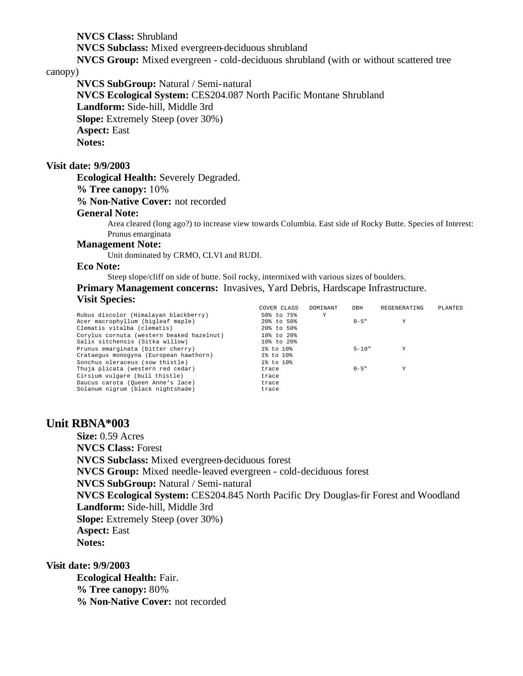**NVCS Class:** Shrubland **NVCS Subclass:** Mixed evergreen-deciduous shrubland **NVCS Group:** Mixed evergreen - cold-deciduous shrubland (with or without scattered tree

#### canopy)

**NVCS SubGroup:** Natural / Semi-natural **NVCS Ecological System:** CES204.087 North Pacific Montane Shrubland **Landform:** Side-hill, Middle 3rd **Slope:** Extremely Steep (over 30%) **Aspect:** East **Notes:** 

# **Visit date: 9/9/2003**

**Ecological Health:** Severely Degraded.

**% Tree canopy:** 10%

**% Non-Native Cover:** not recorded

### **General Note:**

Area cleared (long ago?) to increase view towards Columbia. East side of Rocky Butte. Species of Interest: Prunus emarginata

## **Management Note:**

Unit dominated by CRMO, CLVI and RUDI.

#### **Eco Note:**

Steep slope/cliff on side of butte. Soil rocky, intermixed with various sizes of boulders. **Primary Management concerns:** Invasives, Yard Debris, Hardscape Infrastructure. **Visit Species:** 

|                                           | COVER CLASS     | DOMINANT | DBH       | REGENERATING | PLANTED |
|-------------------------------------------|-----------------|----------|-----------|--------------|---------|
| Rubus discolor (Himalayan blackberry)     | 50% to 75%      | Y        |           |              |         |
| Acer macrophyllum (bigleaf maple)         | 20% to 50%      |          | $0 - 5$ " | Y            |         |
| Clematis vitalba (clematis)               | 20% to 50%      |          |           |              |         |
| Corylus cornuta (western beaked hazelnut) | 10% to 20%      |          |           |              |         |
| Salix sitchensis (Sitka willow)           | 10% to 20%      |          |           |              |         |
| Prunus emarginata (bitter cherry)         | $1\%$ to $10\%$ |          | $5 - 10"$ | Y            |         |
| Crataequs monoqyna (European hawthorn)    | 1% to 10%       |          |           |              |         |
| Sonchus oleraceus (sow thistle)           | 1% to 10%       |          |           |              |         |
| Thuja plicata (western red cedar)         | trace           |          | $0 - 5$ " | Y            |         |
| Cirsium vulgare (bull thistle)            | trace           |          |           |              |         |
| Daucus carota (Oueen Anne's lace)         | trace           |          |           |              |         |
| Solanum nigrum (black nightshade)         | trace           |          |           |              |         |
|                                           |                 |          |           |              |         |

## **Unit RBNA\*003**

**Size:** 0.59 Acres **NVCS Class:** Forest **NVCS Subclass:** Mixed evergreen-deciduous forest **NVCS Group:** Mixed needle-leaved evergreen - cold-deciduous forest **NVCS SubGroup:** Natural / Semi-natural **NVCS Ecological System:** CES204.845 North Pacific Dry Douglas-fir Forest and Woodland **Landform:** Side-hill, Middle 3rd **Slope:** Extremely Steep (over 30%) **Aspect:** East **Notes:** 

**Visit date: 9/9/2003**

**Ecological Health:** Fair. **% Tree canopy:** 80% **% Non-Native Cover:** not recorded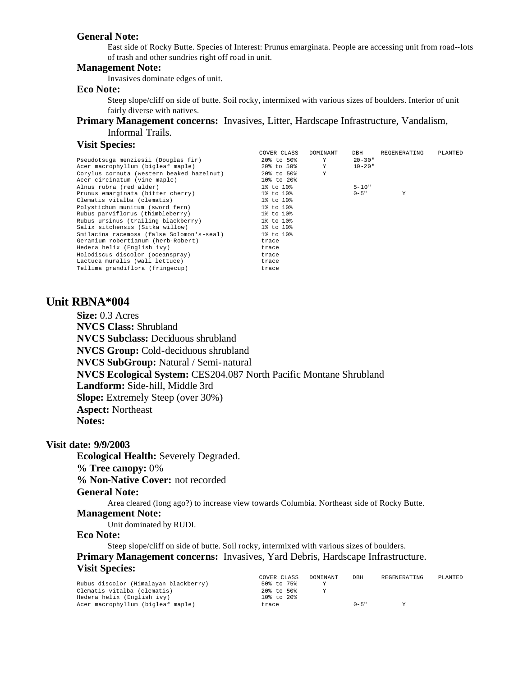#### **General Note:**

East side of Rocky Butte. Species of Interest: Prunus emarginata. People are accessing unit from road--lots of trash and other sundries right off road in unit.

#### **Management Note:**

Invasives dominate edges of unit.

### **Eco Note:**

Steep slope/cliff on side of butte. Soil rocky, intermixed with various sizes of boulders. Interior of unit fairly diverse with natives.

**Primary Management concerns:** Invasives, Litter, Hardscape Infrastructure, Vandalism, Informal Trails.

# **Visit Species:**

|                                           | COVER CLASS | DOMINANT | DBH         | REGENERATING | PLANTED |
|-------------------------------------------|-------------|----------|-------------|--------------|---------|
| Pseudotsuga menziesii (Douglas fir)       | 20% to 50%  | Y        | $20 - 30$ " |              |         |
| Acer macrophyllum (bigleaf maple)         | 20% to 50%  | Y        | $10 - 20$ " |              |         |
| Corylus cornuta (western beaked hazelnut) | 20% to 50%  | Y        |             |              |         |
| Acer circinatum (vine maple)              | 10% to 20%  |          |             |              |         |
| Alnus rubra (red alder)                   | 1% to 10%   |          | $5 - 10"$   |              |         |
| Prunus emarginata (bitter cherry)         | 1% to 10%   |          | $0 - 5$ "   | Y            |         |
| Clematis vitalba (clematis)               | 1% to 10%   |          |             |              |         |
| Polystichum munitum (sword fern)          | 1% to 10%   |          |             |              |         |
| Rubus parviflorus (thimbleberry)          | 1% to 10%   |          |             |              |         |
| Rubus ursinus (trailing blackberry)       | 1% to 10%   |          |             |              |         |
| Salix sitchensis (Sitka willow)           | 1% to 10%   |          |             |              |         |
| Smilacina racemosa (false Solomon's-seal) | 1% to 10%   |          |             |              |         |
| Geranium robertianum (herb-Robert)        | trace       |          |             |              |         |
| Hedera helix (English ivy)                | trace       |          |             |              |         |
| Holodiscus discolor (oceanspray)          | trace       |          |             |              |         |
| Lactuca muralis (wall lettuce)            | trace       |          |             |              |         |
| Tellima grandiflora (fringecup)           | trace       |          |             |              |         |

# **Unit RBNA\*004**

**Size:** 0.3 Acres **NVCS Class:** Shrubland **NVCS Subclass:** Deciduous shrubland **NVCS Group:** Cold-deciduous shrubland **NVCS SubGroup:** Natural / Semi-natural **NVCS Ecological System:** CES204.087 North Pacific Montane Shrubland **Landform:** Side-hill, Middle 3rd **Slope:** Extremely Steep (over 30%) **Aspect:** Northeast **Notes:** 

### **Visit date: 9/9/2003**

**Ecological Health:** Severely Degraded.

#### **% Tree canopy:** 0%

**% Non-Native Cover:** not recorded

#### **General Note:**

Area cleared (long ago?) to increase view towards Columbia. Northeast side of Rocky Butte.

# **Management Note:**

Unit dominated by RUDI.

## **Eco Note:**

Steep slope/cliff on side of butte. Soil rocky, intermixed with various sizes of boulders. **Primary Management concerns:** Invasives, Yard Debris, Hardscape Infrastructure. **Visit Species:** 

|                                       | COVER CLASS | DOMINANT | DBH       | REGENERATING | PLANTED |
|---------------------------------------|-------------|----------|-----------|--------------|---------|
| Rubus discolor (Himalayan blackberry) | 50% to 75%  |          |           |              |         |
| Clematis vitalba (clematis)           | 20% to 50%  |          |           |              |         |
| Hedera helix (English ivy)            | 10% to 20%  |          |           |              |         |
| Acer macrophyllum (bigleaf maple)     | trace       |          | $0 - 5$ " | v            |         |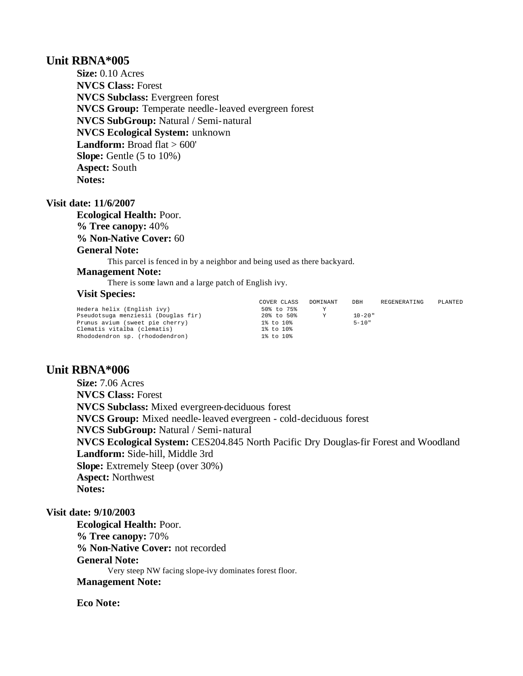# **Unit RBNA\*005**

**Size:** 0.10 Acres **NVCS Class:** Forest **NVCS Subclass:** Evergreen forest **NVCS Group:** Temperate needle-leaved evergreen forest **NVCS SubGroup:** Natural / Semi-natural **NVCS Ecological System:** unknown Landform: Broad flat > 600' **Slope:** Gentle (5 to 10%) **Aspect:** South **Notes:** 

### **Visit date: 11/6/2007**

**Ecological Health:** Poor. **% Tree canopy:** 40% **% Non-Native Cover:** 60 **General Note:**

This parcel is fenced in by a neighbor and being used as there backyard.

# **Management Note:**

There is some lawn and a large patch of English ivy.

### **Visit Species:**

|                                     | COVER CLASS | DOMINANT | DBH         | REGENERATING | PLANTED |
|-------------------------------------|-------------|----------|-------------|--------------|---------|
| Hedera helix (English ivy)          | 50% to 75%  |          |             |              |         |
| Pseudotsuga menziesii (Douglas fir) | 20% to 50%  | Y        | $10 - 20$ " |              |         |
| Prunus avium (sweet pie cherry)     | 1% to 10%   |          | $5 - 10"$   |              |         |
| Clematis vitalba (clematis)         | 1% to 10%   |          |             |              |         |
| Rhododendron sp. (rhododendron)     | 1% to 10%   |          |             |              |         |

# **Unit RBNA\*006**

**Size:** 7.06 Acres **NVCS Class:** Forest **NVCS Subclass:** Mixed evergreen-deciduous forest **NVCS Group:** Mixed needle-leaved evergreen - cold-deciduous forest **NVCS SubGroup:** Natural / Semi-natural **NVCS Ecological System:** CES204.845 North Pacific Dry Douglas-fir Forest and Woodland **Landform:** Side-hill, Middle 3rd **Slope:** Extremely Steep (over 30%) **Aspect:** Northwest **Notes:** 

## **Visit date: 9/10/2003**

**Ecological Health:** Poor. **% Tree canopy:** 70% **% Non-Native Cover:** not recorded **General Note:** Very steep NW facing slope-ivy dominates forest floor. **Management Note:**

# **Eco Note:**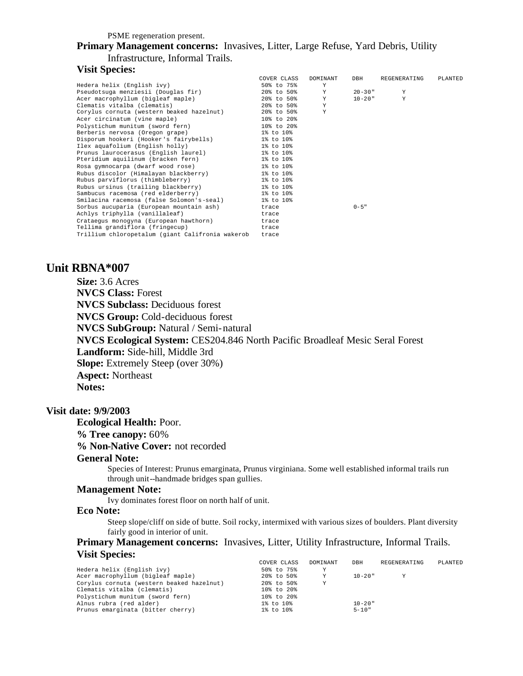PSME regeneration present.

## **Primary Management concerns:** Invasives, Litter, Large Refuse, Yard Debris, Utility Infrastructure, Informal Trails.

### **Visit Species:**

|                                                     | COVER CLASS | DOMINANT     | DBH         | REGENERATING | PLANTED |
|-----------------------------------------------------|-------------|--------------|-------------|--------------|---------|
| Hedera helix (English ivy)                          | 50% to 75%  | Y            |             |              |         |
| Pseudotsuga menziesii (Douglas fir)                 | 20% to 50%  | Y            | $20 - 30$ " | Y            |         |
| Acer macrophyllum (bigleaf maple)                   | 20% to 50%  | Y            | $10 - 20$ " | $\mathbf{v}$ |         |
| Clematis vitalba (clematis)                         | 20% to 50%  | Y            |             |              |         |
| Corylus cornuta (western beaked hazelnut)           | 20% to 50%  | $\mathbf{v}$ |             |              |         |
| Acer circinatum (vine maple)                        | 10% to 20%  |              |             |              |         |
| Polystichum munitum (sword fern)                    | 10% to 20%  |              |             |              |         |
| Berberis nervosa (Oregon grape)                     | 1% to 10%   |              |             |              |         |
| Disporum hookeri (Hooker's fairybells) 1% to 10%    |             |              |             |              |         |
| Ilex aquafolium (English holly)                     | 1% to 10%   |              |             |              |         |
| Prunus laurocerasus (English laurel) 1% to 10%      |             |              |             |              |         |
| Pteridium aquilinum (bracken fern)                  | 1% to 10%   |              |             |              |         |
| Rosa qymnocarpa (dwarf wood rose)                   | 1% to 10%   |              |             |              |         |
| Rubus discolor (Himalayan blackberry) 1% to 10%     |             |              |             |              |         |
| Rubus parviflorus (thimbleberry)                    | 1% to 10%   |              |             |              |         |
| Rubus ursinus (trailing blackberry)                 | 1% to 10%   |              |             |              |         |
| Sambucus racemosa (red elderberry)                  | 1% to 10%   |              |             |              |         |
| Smilacina racemosa (false Solomon's-seal) 1% to 10% |             |              |             |              |         |
| Sorbus aucuparia (European mountain ash)            | trace       |              | $0 - 5$ "   |              |         |
| Achlys triphylla (vanillaleaf)                      | trace       |              |             |              |         |
| Crataequs monoqyna (European hawthorn)              | trace       |              |             |              |         |
| Tellima grandiflora (fringecup)                     | trace       |              |             |              |         |
| Trillium chloropetalum (giant Califronia wakerob    | trace       |              |             |              |         |

# **Unit RBNA\*007**

**Size:** 3.6 Acres **NVCS Class:** Forest **NVCS Subclass:** Deciduous forest **NVCS Group:** Cold-deciduous forest **NVCS SubGroup:** Natural / Semi-natural **NVCS Ecological System:** CES204.846 North Pacific Broadleaf Mesic Seral Forest **Landform:** Side-hill, Middle 3rd **Slope:** Extremely Steep (over 30%) **Aspect:** Northeast **Notes:** 

#### **Visit date: 9/9/2003**

**Ecological Health:** Poor.

### **% Tree canopy:** 60%

**% Non-Native Cover:** not recorded

#### **General Note:**

Species of Interest: Prunus emarginata, Prunus virginiana. Some well established informal trails run through unit--handmade bridges span gullies.

### **Management Note:**

Ivy dominates forest floor on north half of unit.

## **Eco Note:**

Steep slope/cliff on side of butte. Soil rocky, intermixed with various sizes of boulders. Plant diversity fairly good in interior of unit.

## **Primary Management concerns:** Invasives, Litter, Utility Infrastructure, Informal Trails. **Visit Species:**

|                                           | COVER CLASS | DOMINANT | DBH         | REGENERATING | PLANTED |
|-------------------------------------------|-------------|----------|-------------|--------------|---------|
| Hedera helix (English ivy)                | 50% to 75%  | Υ        |             |              |         |
| Acer macrophyllum (bigleaf maple)         | 20% to 50%  | Y        | $10 - 20$ " | Y            |         |
| Corylus cornuta (western beaked hazelnut) | 20% to 50%  | Y        |             |              |         |
| Clematis vitalba (clematis)               | 10% to 20%  |          |             |              |         |
| Polystichum munitum (sword fern)          | 10% to 20%  |          |             |              |         |
| Alnus rubra (red alder)                   | 1% to 10%   |          | $10 - 20$ " |              |         |
| Prunus emarginata (bitter cherry)         | 1% to 10%   |          | $5 - 10"$   |              |         |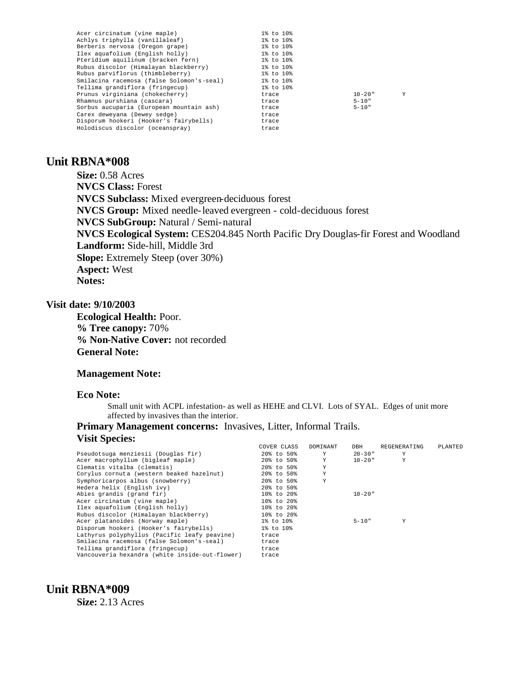| Acer circinatum (vine maple)              | 1% to 10% |             |   |
|-------------------------------------------|-----------|-------------|---|
| Achlys triphylla (vanillaleaf)            | 1% to 10% |             |   |
| Berberis nervosa (Oregon grape)           | 1% to 10% |             |   |
| Ilex aguafolium (English holly)           | 1% to 10% |             |   |
| Pteridium aquilinum (bracken fern)        | 1% to 10% |             |   |
| Rubus discolor (Himalayan blackberry)     | 1% to 10% |             |   |
| Rubus parviflorus (thimbleberry)          | 1% to 10% |             |   |
| Smilacina racemosa (false Solomon's-seal) | 1% to 10% |             |   |
| Tellima grandiflora (fringecup)           | 1% to 10% |             |   |
| Prunus virginiana (chokecherry)           | trace     | $10 - 20$ " | Y |
| Rhamnus purshiana (cascara)               | trace     | $5 - 10"$   |   |
| Sorbus aucuparia (European mountain ash)  | trace     | $5 - 10"$   |   |
| Carex dewevana (Dewey sedge)              | trace     |             |   |
| Disporum hookeri (Hooker's fairybells)    | trace     |             |   |
| Holodiscus discolor (oceanspray)          | trace     |             |   |
|                                           |           |             |   |

# **Unit RBNA\*008**

**Size:** 0.58 Acres **NVCS Class:** Forest **NVCS Subclass:** Mixed evergreen-deciduous forest **NVCS Group:** Mixed needle-leaved evergreen - cold-deciduous forest **NVCS SubGroup:** Natural / Semi-natural **NVCS Ecological System:** CES204.845 North Pacific Dry Douglas-fir Forest and Woodland **Landform:** Side-hill, Middle 3rd **Slope:** Extremely Steep (over 30%) **Aspect:** West **Notes:** 

### **Visit date: 9/10/2003**

**Ecological Health:** Poor. **% Tree canopy:** 70% **% Non-Native Cover:** not recorded **General Note:**

#### **Management Note:**

#### **Eco Note:**

**Unit RBNA\*009**

**Size:** 2.13 Acres

Small unit with ACPL infestation- as well as HEHE and CLVI. Lots of SYAL. Edges of unit more affected by invasives than the interior.

## **Primary Management concerns:** Invasives, Litter, Informal Trails. **Visit Species:**

|                                                | COVER CLASS   | DOMINANT | DBH         | REGENERATING | PLANTED |
|------------------------------------------------|---------------|----------|-------------|--------------|---------|
| Pseudotsuga menziesii (Douglas fir)            | 20% to 50%    | Y        | $20 - 30$ " | Y            |         |
| Acer macrophyllum (bigleaf maple)              | 20% to 50%    | Y        | $10 - 20$ " | Y            |         |
| Clematis vitalba (clematis)                    | 20% to 50%    | Υ        |             |              |         |
| Corylus cornuta (western beaked hazelnut)      | 20% to 50%    | Υ        |             |              |         |
| Symphoricarpos albus (snowberry)               | 20% to 50%    | Y        |             |              |         |
| Hedera helix (English ivv)                     | $20\%$ to 50% |          |             |              |         |
| Abies grandis (grand fir)                      | 10% to 20%    |          | $10 - 20$ " |              |         |
| Acer circinatum (vine maple)                   | 10% to 20%    |          |             |              |         |
| Ilex aquafolium (English holly)                | 10% to 20%    |          |             |              |         |
| Rubus discolor (Himalayan blackberry)          | 10% to 20%    |          |             |              |         |
| Acer platanoides (Norway maple)                | 1% to 10%     |          | $5 - 10"$   | Y            |         |
| Disporum hookeri (Hooker's fairybells)         | 1% to 10%     |          |             |              |         |
| Lathyrus polyphyllus (Pacific leafy peavine)   | trace         |          |             |              |         |
| Smilacina racemosa (false Solomon's-seal)      | trace         |          |             |              |         |
| Tellima grandiflora (fringecup)                | trace         |          |             |              |         |
| Vancouveria hexandra (white inside-out-flower) | trace         |          |             |              |         |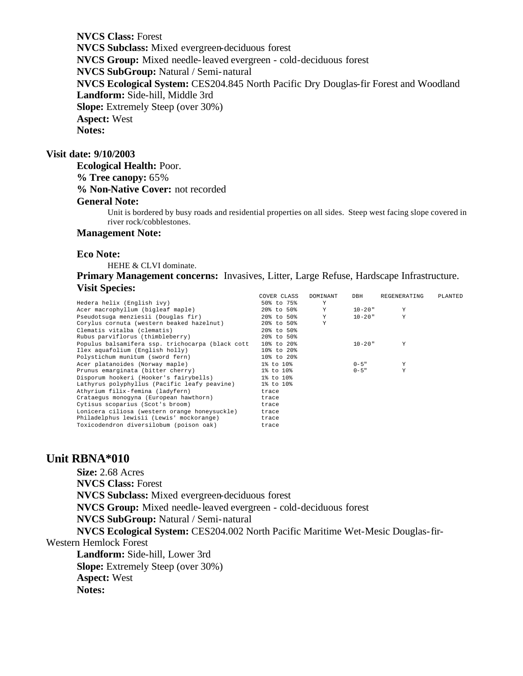**NVCS Class:** Forest **NVCS Subclass:** Mixed evergreen-deciduous forest **NVCS Group:** Mixed needle-leaved evergreen - cold-deciduous forest **NVCS SubGroup:** Natural / Semi-natural **NVCS Ecological System:** CES204.845 North Pacific Dry Douglas-fir Forest and Woodland **Landform:** Side-hill, Middle 3rd **Slope:** Extremely Steep (over 30%) **Aspect:** West **Notes:** 

## **Visit date: 9/10/2003**

**Ecological Health:** Poor. **% Tree canopy:** 65%

**% Non-Native Cover:** not recorded

### **General Note:**

Unit is bordered by busy roads and residential properties on all sides. Steep west facing slope covered in river rock/cobblestones.

#### **Management Note:**

#### **Eco Note:**

HEHE & CLVI dominate.

**Primary Management concerns:** Invasives, Litter, Large Refuse, Hardscape Infrastructure. **Visit Species:** 

|                                                  | COVER CLASS | DOMINANT | DBH         | REGENERATING | PLANTED |
|--------------------------------------------------|-------------|----------|-------------|--------------|---------|
| Hedera helix (English ivy)                       | 50% to 75%  | Y        |             |              |         |
| Acer macrophyllum (bigleaf maple)                | 20% to 50%  | Y        | $10 - 20$ " | Y            |         |
| Pseudotsuga menziesii (Douglas fir)              | 20% to 50%  | Y        | $10 - 20$ " | Y            |         |
| Corylus cornuta (western beaked hazelnut)        | 20% to 50%  | Υ        |             |              |         |
| Clematis vitalba (clematis)                      | 20% to 50%  |          |             |              |         |
| Rubus parviflorus (thimbleberry)                 | 20% to 50%  |          |             |              |         |
| Populus balsamifera ssp. trichocarpa (black cott | 10% to 20%  |          | $10 - 20$ " | Y            |         |
| Ilex aquafolium (English holly)                  | 10% to 20%  |          |             |              |         |
| Polystichum munitum (sword fern)                 | 10% to 20%  |          |             |              |         |
| Acer platanoides (Norway maple)                  | 1% to 10%   |          | $0 - 5$ "   | Y            |         |
| Prunus emarginata (bitter cherry)                | 1% to 10%   |          | $0 - 5$ "   | Y            |         |
| Disporum hookeri (Hooker's fairybells)           | 1% to 10%   |          |             |              |         |
| Lathyrus polyphyllus (Pacific leafy peavine)     | 1% to 10%   |          |             |              |         |
| Athyrium filix-femina (ladyfern)                 | trace       |          |             |              |         |
| Crataegus monogyna (European hawthorn)           | trace       |          |             |              |         |
| Cytisus scoparius (Scot's broom)                 | trace       |          |             |              |         |
| Lonicera ciliosa (western orange honeysuckle)    | trace       |          |             |              |         |
| Philadelphus lewisii (Lewis' mockorange)         | trace       |          |             |              |         |
| Toxicodendron diversilobum (poison oak)          | trace       |          |             |              |         |
|                                                  |             |          |             |              |         |

# **Unit RBNA\*010**

**Size:** 2.68 Acres **NVCS Class:** Forest **NVCS Subclass:** Mixed evergreen-deciduous forest **NVCS Group:** Mixed needle-leaved evergreen - cold-deciduous forest **NVCS SubGroup:** Natural / Semi-natural **NVCS Ecological System:** CES204.002 North Pacific Maritime Wet-Mesic Douglas-fir-Western Hemlock Forest **Landform:** Side-hill, Lower 3rd **Slope:** Extremely Steep (over 30%) **Aspect:** West **Notes:**